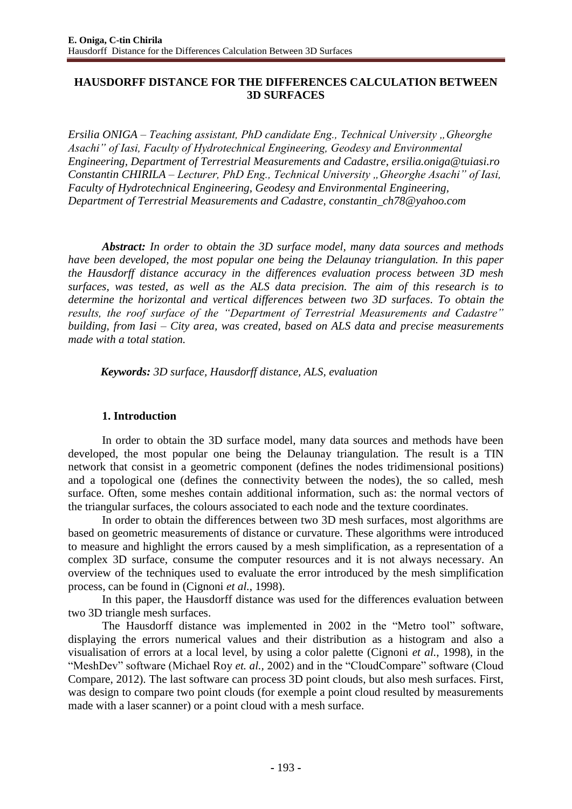# **HAUSDORFF DISTANCE FOR THE DIFFERENCES CALCULATION BETWEEN 3D SURFACES**

*Ersilia ONIGA* – *Teaching assistant, PhD candidate Eng., Technical University "Gheorghe Asachi" of Iasi, Faculty of Hydrotechnical Engineering, Geodesy and Environmental Engineering, Department of Terrestrial Measurements and Cadastre, [ersilia.oniga@tuiasi.ro](mailto:ersilia.oniga@tuiasi.ro) Constantin CHIRILA – Lecturer, PhD Eng., Technical University "Gheorghe Asachi" of Iasi, Faculty of Hydrotechnical Engineering, Geodesy and Environmental Engineering, Department of Terrestrial Measurements and Cadastre, [constantin\\_ch78@yahoo.com](mailto:constantin_ch78@yahoo.com)*

*Abstract: In order to obtain the 3D surface model, many data sources and methods have been developed, the most popular one being the Delaunay triangulation. In this paper the Hausdorff distance accuracy in the differences evaluation process between 3D mesh surfaces, was tested, as well as the ALS data precision. The aim of this research is to determine the horizontal and vertical differences between two 3D surfaces. To obtain the results, the roof surface of the "Department of Terrestrial Measurements and Cadastre" building, from Iasi – City area, was created, based on ALS data and precise measurements made with a total station.*

*Keywords: 3D surface, Hausdorff distance, ALS, evaluation*

## **1. Introduction**

In order to obtain the 3D surface model, many data sources and methods have been developed, the most popular one being the Delaunay triangulation. The result is a TIN network that consist in a geometric component (defines the nodes tridimensional positions) and a topological one (defines the connectivity between the nodes), the so called, mesh surface. Often, some meshes contain additional information, such as: the normal vectors of the triangular surfaces, the colours associated to each node and the texture coordinates.

In order to obtain the differences between two 3D mesh surfaces, most algorithms are based on geometric measurements of distance or curvature. These algorithms were introduced to measure and highlight the errors caused by a mesh simplification, as a representation of a complex 3D surface, consume the computer resources and it is not always necessary. An overview of the techniques used to evaluate the error introduced by the mesh simplification process, can be found in (Cignoni *et al.*, 1998).

In this paper, the Hausdorff distance was used for the differences evaluation between two 3D triangle mesh surfaces.

The Hausdorff distance was implemented in 2002 in the "Metro tool" software, displaying the errors numerical values and their distribution as a histogram and also a visualisation of errors at a local level, by using a color palette (Cignoni *et al.*, 1998), in the "MeshDev" software (Michael Roy *et. al.,* 2002) and in the "CloudCompare" software (Cloud Compare, 2012). The last software can process 3D point clouds, but also mesh surfaces. First, was design to compare two point clouds (for exemple a point cloud resulted by measurements made with a laser scanner) or a point cloud with a mesh surface.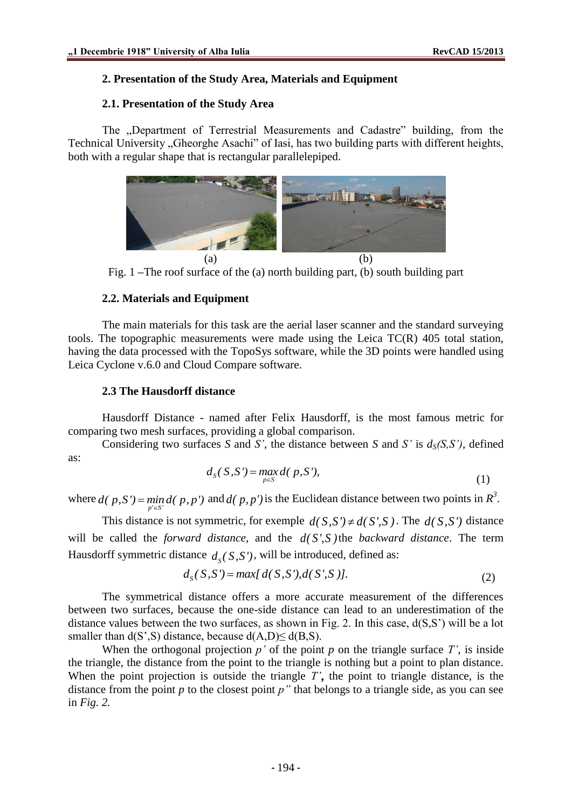## **2. Presentation of the Study Area, Materials and Equipment**

### **2.1. Presentation of the Study Area**

The "Department of Terrestrial Measurements and Cadastre" building, from the Technical University "Gheorghe Asachi" of Iasi, has two building parts with different heights, both with a regular shape that is rectangular parallelepiped.



Fig. 1 **–**The roof surface of the (a) north building part, (b) south building part

## **2.2. Materials and Equipment**

The main materials for this task are the aerial laser scanner and the standard surveying tools. The topographic measurements were made using the Leica TC(R) 405 total station, having the data processed with the TopoSys software, while the 3D points were handled using Leica Cyclone v.6.0 and Cloud Compare software.

### **2.3 The Hausdorff distance**

Hausdorff Distance - named after Felix Hausdorff, is the most famous metric for comparing two mesh surfaces, providing a global comparison.

Considering two surfaces *S* and *S'*, the distance between *S* and *S'* is  $d_S(S, S')$ , defined as:

$$
d_S(S, S') = \max_{p \in S} d(p, S'), \tag{1}
$$

where  $d(p, S') = \min_{p' \in S'} d(p, p')$  and  $d(p, p')$  is the Euclidean distance between two points in  $R^3$ .

This distance is not symmetric, for exemple  $d(S, S') \neq d(S', S)$ . The  $d(S, S')$  distance will be called the *forward distance*, and the *d( S',S )* the *backward distance*. The term Hausdorff symmetric distance  $d_S(S, S')$ , will be introduced, defined as:<br> $d_S(S, S') = max[d(S, S'), d(S', S')]$ .

$$
d_S(S, S') = \max[d(S, S'), d(S', S)].
$$
\n(2)

The symmetrical distance offers a more accurate measurement of the differences between two surfaces, because the one-side distance can lead to an underestimation of the distance values between the two surfaces, as shown in Fig. 2. In this case, d(S,S') will be a lot smaller than  $d(S', S)$  distance, because  $d(A, D) \leq d(B, S)$ .

When the orthogonal projection  $p'$  of the point  $p$  on the triangle surface  $T'$ , is inside the triangle, the distance from the point to the triangle is nothing but a point to plan distance. When the point projection is outside the triangle *T'***,** the point to triangle distance, is the distance from the point  $p$  to the closest point  $p''$  that belongs to a triangle side, as you can see in *Fig. 2.*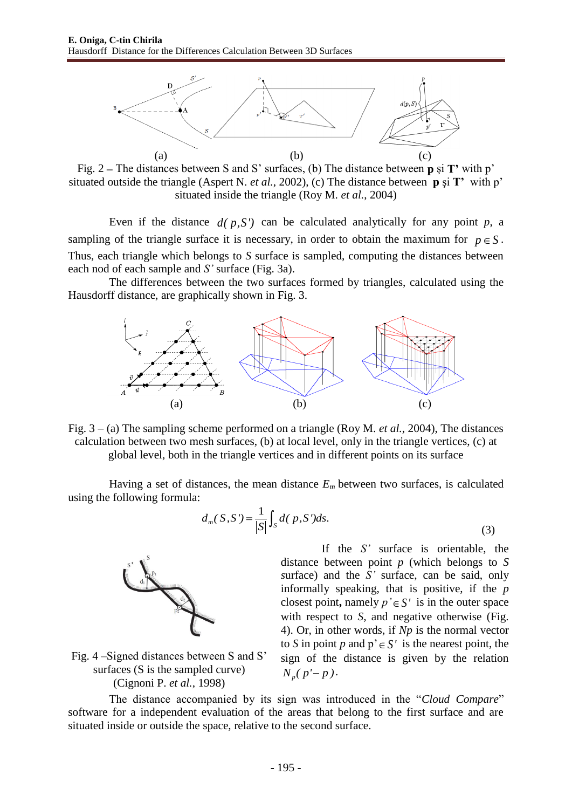

Fig. 2 **–** The distances between S and S' surfaces, (b) The distance between **p** şi **T'** with p' situated outside the triangle (Aspert N. *et al.*, 2002), (c) The distance between **p** şi **T'** with p' situated inside the triangle (Roy M. *et al.*, 2004)

Even if the distance  $d(p, S')$  can be calculated analytically for any point  $p$ , a sampling of the triangle surface it is necessary, in order to obtain the maximum for  $p \in S$ . Thus, each triangle which belongs to *S* surface is sampled, computing the distances between each nod of each sample and *S'* surface (Fig. 3a).

The differences between the two surfaces formed by triangles, calculated using the Hausdorff distance, are graphically shown in Fig. 3.



Fig. 3 – (a) The sampling scheme performed on a triangle (Roy M. *et al.*, 2004), The distances calculation between two mesh surfaces, (b) at local level, only in the triangle vertices, (c) at global level, both in the triangle vertices and in different points on its surface

Having a set of distances, the mean distance  $E_m$  between two surfaces, is calculated using the following formula:

$$
d_m(S, S') = \frac{1}{|S|} \int_S d(P, S') ds.
$$
 (3)



Fig. 4 –Signed distances between S and S' surfaces (S is the sampled curve) (Cignoni P. *et al.*, 1998)

If the *S'* surface is orientable, the distance between point *p* (which belongs to *S s*urface) and the *S'* surface, can be said, only informally speaking, that is positive, if the *p* closest point, namely  $p' \in S'$  is in the outer space with respect to *S*, and negative otherwise (Fig. 4). Or, in other words, if *Np* is the normal vector to *S* in point *p* and  $p' \in S'$  is the nearest point, the sign of the distance is given by the relation  $N_p(p'-p)$ .

The distance accompanied by its sign was introduced in the "*Cloud Compare*" software for a independent evaluation of the areas that belong to the first surface and are situated inside or outside the space, relative to the second surface.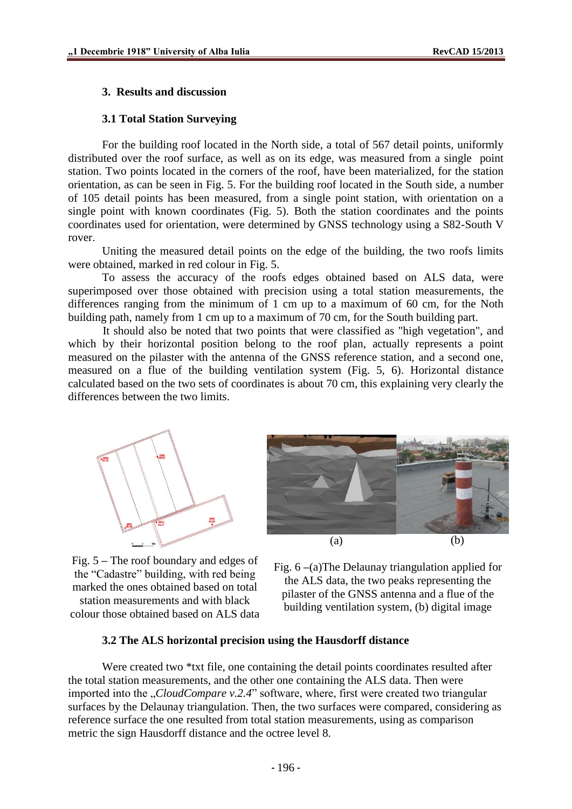#### **3. Results and discussion**

#### **3.1 Total Station Surveying**

For the building roof located in the North side, a total of 567 detail points, uniformly distributed over the roof surface, as well as on its edge, was measured from a single point station. Two points located in the corners of the roof, have been materialized, for the station orientation, as can be seen in Fig. 5. For the building roof located in the South side, a number of 105 detail points has been measured, from a single point station, with orientation on a single point with known coordinates (Fig. 5). Both the station coordinates and the points coordinates used for orientation, were determined by GNSS technology using a S82-South V rover.

Uniting the measured detail points on the edge of the building, the two roofs limits were obtained, marked in red colour in Fig. 5.

To assess the accuracy of the roofs edges obtained based on ALS data, were superimposed over those obtained with precision using a total station measurements, the differences ranging from the minimum of 1 cm up to a maximum of 60 cm, for the Noth building path, namely from 1 cm up to a maximum of 70 cm, for the South building part.

It should also be noted that two points that were classified as "high vegetation", and which by their horizontal position belong to the roof plan, actually represents a point measured on the pilaster with the antenna of the GNSS reference station, and a second one, measured on a flue of the building ventilation system (Fig. 5, 6). Horizontal distance calculated based on the two sets of coordinates is about 70 cm, this explaining very clearly the differences between the two limits.





Fig. 5 **–** The roof boundary and edges of the "Cadastre" building, with red being marked the ones obtained based on total station measurements and with black colour those obtained based on ALS data

Fig. 6 **–**(a)The Delaunay triangulation applied for the ALS data, the two peaks representing the pilaster of the GNSS antenna and a flue of the building ventilation system, (b) digital image

#### **3.2 The ALS horizontal precision using the Hausdorff distance**

Were created two \*txt file, one containing the detail points coordinates resulted after the total station measurements, and the other one containing the ALS data. Then were imported into the *"CloudCompare v.2.4*" software, where, first were created two triangular surfaces by the Delaunay triangulation. Then, the two surfaces were compared, considering as reference surface the one resulted from total station measurements, using as comparison metric the sign Hausdorff distance and the octree level 8.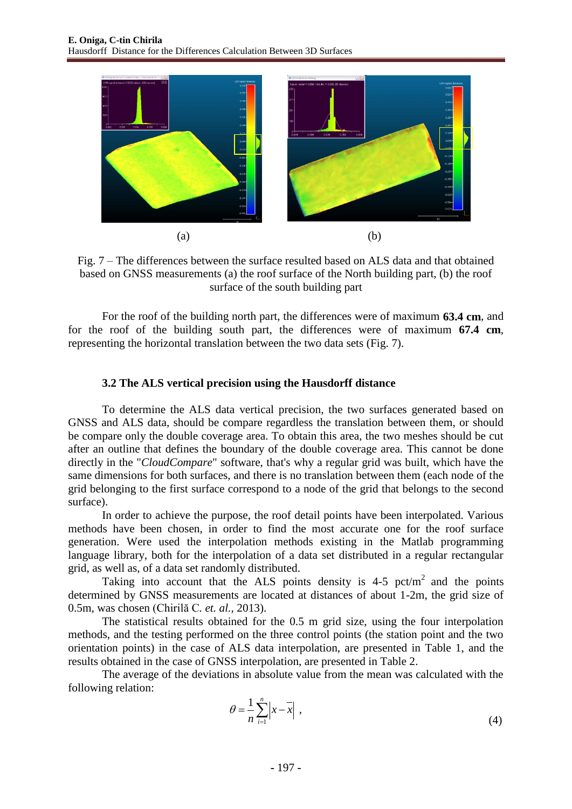

Fig. 7 – The differences between the surface resulted based on ALS data and that obtained based on GNSS measurements (a) the roof surface of the North building part, (b) the roof surface of the south building part

For the roof of the building north part, the differences were of maximum **63.4 cm**, and for the roof of the building south part, the differences were of maximum **67.4 cm**, representing the horizontal translation between the two data sets (Fig. 7).

### **3.2 The ALS vertical precision using the Hausdorff distance**

To determine the ALS data vertical precision, the two surfaces generated based on GNSS and ALS data, should be compare regardless the translation between them, or should be compare only the double coverage area. To obtain this area, the two meshes should be cut after an outline that defines the boundary of the double coverage area. This cannot be done directly in the "*CloudCompare*" software, that's why a regular grid was built, which have the same dimensions for both surfaces, and there is no translation between them (each node of the grid belonging to the first surface correspond to a node of the grid that belongs to the second surface).

In order to achieve the purpose, the roof detail points have been interpolated. Various methods have been chosen, in order to find the most accurate one for the roof surface generation. Were used the interpolation methods existing in the Matlab programming language library, both for the interpolation of a data set distributed in a regular rectangular grid, as well as, of a data set randomly distributed.

Taking into account that the ALS points density is  $4-5$  pct/m<sup>2</sup> and the points determined by GNSS measurements are located at distances of about 1-2m, the grid size of 0.5m, was chosen (Chirilă C*. et. al.,* 2013).

The statistical results obtained for the 0.5 m grid size, using the four interpolation methods, and the testing performed on the three control points (the station point and the two orientation points) in the case of ALS data interpolation, are presented in Table 1, and the results obtained in the case of GNSS interpolation, are presented in Table 2.

The average of the deviations in absolute value from the mean was calculated with the following relation:

$$
\theta = \frac{1}{n} \sum_{i=1}^{n} \left| x - \overline{x} \right| , \tag{4}
$$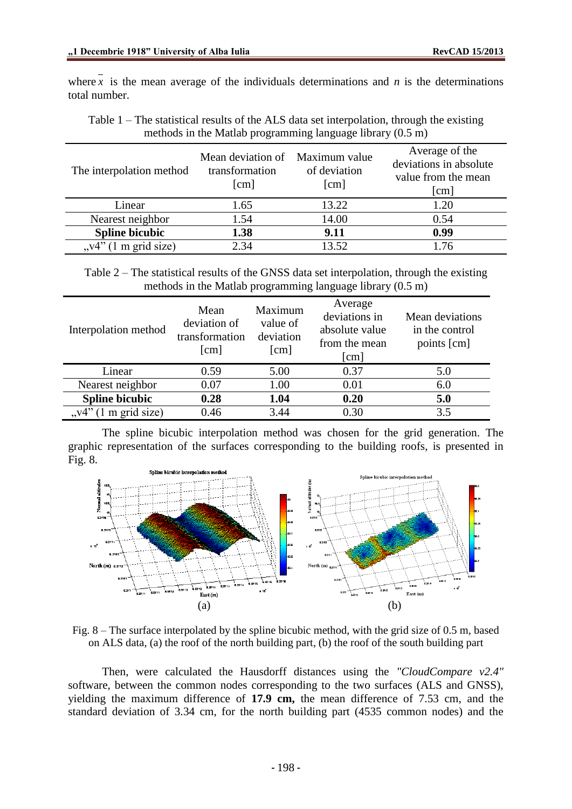where x is the mean average of the individuals determinations and  $n$  is the determinations total number.

Table 1 – The statistical results of the ALS data set interpolation, through the existing methods in the Matlab programming language library (0.5 m)

| The interpolation method  | Mean deviation of Maximum value<br>transformation<br>[cm] | of deviation<br>$\lceil$ cm $\rceil$ | Average of the<br>deviations in absolute<br>value from the mean<br>$\lceil$ cm $\rceil$ |
|---------------------------|-----------------------------------------------------------|--------------------------------------|-----------------------------------------------------------------------------------------|
| Linear                    | 1.65                                                      | 13.22                                | 1.20                                                                                    |
| Nearest neighbor          | 1.54                                                      | 14.00                                | 0.54                                                                                    |
| <b>Spline bicubic</b>     | 1.38                                                      | 9.11                                 | 0.99                                                                                    |
| $(1 \text{ m grid size})$ | 2.34                                                      | 13.52                                |                                                                                         |

Table 2 – The statistical results of the GNSS data set interpolation, through the existing methods in the Matlab programming language library (0.5 m)

| Interpolation method              | Mean<br>deviation of<br>transformation<br>$\lceil$ cm $\rceil$ | Maximum<br>value of<br>deviation<br>$\lceil$ cm $\rceil$ | Average<br>deviations in<br>absolute value<br>from the mean<br>$\lceil$ cm $\rceil$ | Mean deviations<br>in the control<br>points [cm] |
|-----------------------------------|----------------------------------------------------------------|----------------------------------------------------------|-------------------------------------------------------------------------------------|--------------------------------------------------|
| Linear                            | 0.59                                                           | 5.00                                                     | 0.37                                                                                | 5.0                                              |
| Nearest neighbor                  | 0.07                                                           | 1.00                                                     | 0.01                                                                                | 6.0                                              |
| <b>Spline bicubic</b>             | 0.28                                                           | 1.04                                                     | 0.20                                                                                | 5.0                                              |
| $(1 \text{ m grid size})$<br>, v4 | 0.46                                                           | 3.44                                                     | 0.30                                                                                | 3.5                                              |

The spline bicubic interpolation method was chosen for the grid generation. The graphic representation of the surfaces corresponding to the building roofs, is presented in Fig. 8.



Fig. 8 – The surface interpolated by the spline bicubic method, with the grid size of 0.5 m, based on ALS data, (a) the roof of the north building part, (b) the roof of the south building part

Then, were calculated the Hausdorff distances using the *"CloudCompare v2.4"* software, between the common nodes corresponding to the two surfaces (ALS and GNSS), yielding the maximum difference of **17.9 cm,** the mean difference of 7.53 cm, and the standard deviation of 3.34 cm, for the north building part (4535 common nodes) and the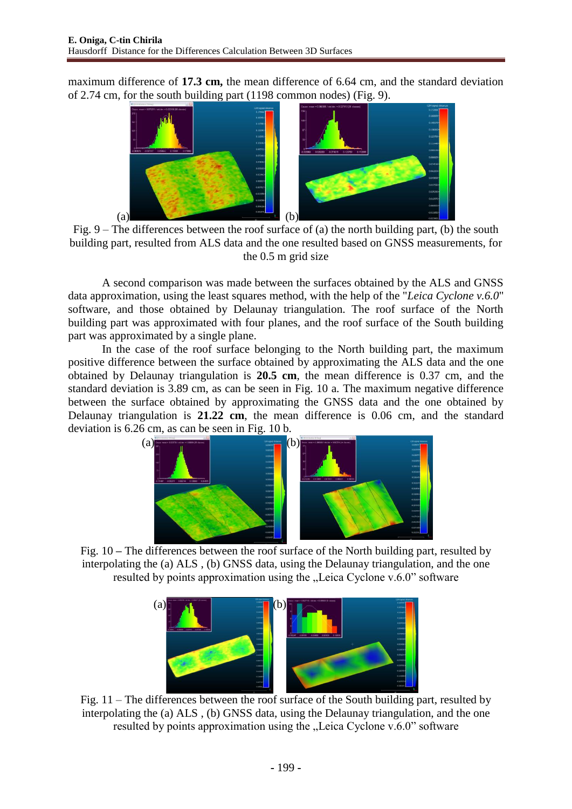maximum difference of **17.3 cm,** the mean difference of 6.64 cm, and the standard deviation of 2.74 cm, for the south building part (1198 common nodes) (Fig. 9).



Fig. 9 – The differences between the roof surface of (a) the north building part, (b) the south building part, resulted from ALS data and the one resulted based on GNSS measurements, for the 0.5 m grid size

A second comparison was made between the surfaces obtained by the ALS and GNSS data approximation, using the least squares method, with the help of the "*Leica Cyclone v.6.0*" software, and those obtained by Delaunay triangulation. The roof surface of the North building part was approximated with four planes, and the roof surface of the South building part was approximated by a single plane.

In the case of the roof surface belonging to the North building part, the maximum positive difference between the surface obtained by approximating the ALS data and the one obtained by Delaunay triangulation is **20.5 cm**, the mean difference is 0.37 cm, and the standard deviation is 3.89 cm, as can be seen in Fig. 10 a*.* The maximum negative difference between the surface obtained by approximating the GNSS data and the one obtained by Delaunay triangulation is **21.22 cm**, the mean difference is 0.06 cm, and the standard deviation is 6.26 cm, as can be seen in Fig. 10 b*.*



Fig. 10 **–** The differences between the roof surface of the North building part, resulted by interpolating the (a) ALS , (b) GNSS data, using the Delaunay triangulation, and the one resulted by points approximation using the "Leica Cyclone v.6.0" software



Fig. 11 – The differences between the roof surface of the South building part, resulted by interpolating the (a) ALS , (b) GNSS data, using the Delaunay triangulation, and the one resulted by points approximation using the "Leica Cyclone v.6.0" software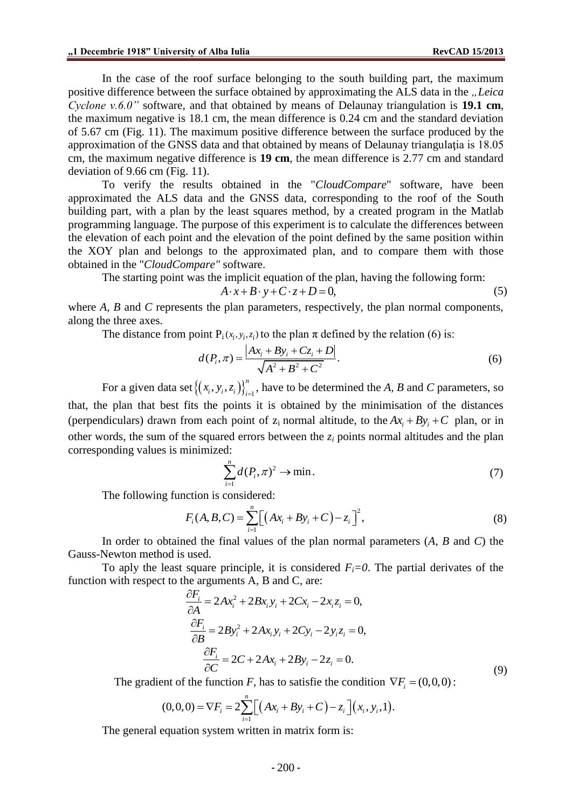In the case of the roof surface belonging to the south building part, the maximum positive difference between the surface obtained by approximating the ALS data in the *"Leica Cyclone v.6.0"* software, and that obtained by means of Delaunay triangulation is **19.1 cm**, the maximum negative is 18.1 cm, the mean difference is 0.24 cm and the standard deviation of 5.67 cm (Fig. 11). The maximum positive difference between the surface produced by the approximation of the GNSS data and that obtained by means of Delaunay triangulatia is 18.05 cm, the maximum negative difference is **19 cm**, the mean difference is 2.77 cm and standard deviation of 9.66 cm (Fig. 11).

To verify the results obtained in the "*CloudCompare*" software, have been approximated the ALS data and the GNSS data, corresponding to the roof of the South building part, with a plan by the least squares method, by a created program in the Matlab programming language. The purpose of this experiment is to calculate the differences between the elevation of each point and the elevation of the point defined by the same position within the XOY plan and belongs to the approximated plan, and to compare them with those obtained in the "*CloudCompare"* software.

The starting point was the implicit equation of the plan, having the following form:<br> $A \cdot x + B \cdot y + C \cdot z + D = 0$ ,

$$
A \cdot x + B \cdot y + C \cdot z + D = 0,\tag{5}
$$

where *A*, *B* and *C* represents the plan parameters, respectively, the plan normal components, along the three axes.

The distance from point  $P_i(x_i, y_i, z_i)$  to the plan  $\pi$  defined by the relation (6) is:<br> $A(P, \pi) = \frac{|Ax_i + By_i + Cz_i + D|}{\pi}$ 

$$
d(P_i, \pi) = \frac{|Ax_i + By_i + Cz_i + D|}{\sqrt{A^2 + B^2 + C^2}}.
$$
\n(6)

For a given data set  $\left\{ (x_i, y_i, z_i) \right\}_{i=1}^n$  $\{x_i, y_i, z_i\}_{i=1}^n$ , have to be determined the *A*, *B* and *C* parameters, so that, the plan that best fits the points it is obtained by the minimisation of the distances (perpendiculars) drawn from each point of  $z_i$  normal altitude, to the  $Ax_i + By_i + C$  plan, or in other words, the sum of the squared errors between the *z<sup>i</sup>* points normal altitudes and the plan corresponding values is minimized:

$$
\sum_{i=1}^{n} d(P_i, \pi)^2 \to \min. \tag{7}
$$

The following function is considered:

$$
F_i(A, B, C) = \sum_{i=1}^{n} \Big[ \Big( Ax_i + By_i + C \Big) - z_i \Big]^2,
$$
\n(8)

In order to obtained the final values of the plan normal parameters (*A, B* and *C*) the Gauss-Newton method is used.

To aply the least square principle, it is considered  $F_i = 0$ . The partial derivates of the

function with respect to the arguments A, B and C, are:  
\n
$$
\frac{\partial F_i}{\partial A} = 2Ax_i^2 + 2Bx_iy_i + 2Cx_i - 2x_iz_i = 0,
$$
\n
$$
\frac{\partial F_i}{\partial B} = 2By_i^2 + 2Ax_iy_i + 2Cy_i - 2y_iz_i = 0,
$$
\n
$$
\frac{\partial F_i}{\partial C} = 2C + 2Ax_i + 2By_i - 2z_i = 0.
$$
\n(9)

The gradient of the function *F*, has to satisfy the condition 
$$
\nabla F_i = (0,0,0)
$$
:  
\n
$$
(0,0,0) = \nabla F_i = 2 \sum_{i=1}^{n} \Big[ \big( Ax_i + By_i + C \big) - z_i \Big] (x_i, y_i, 1).
$$

The general equation system written in matrix form is: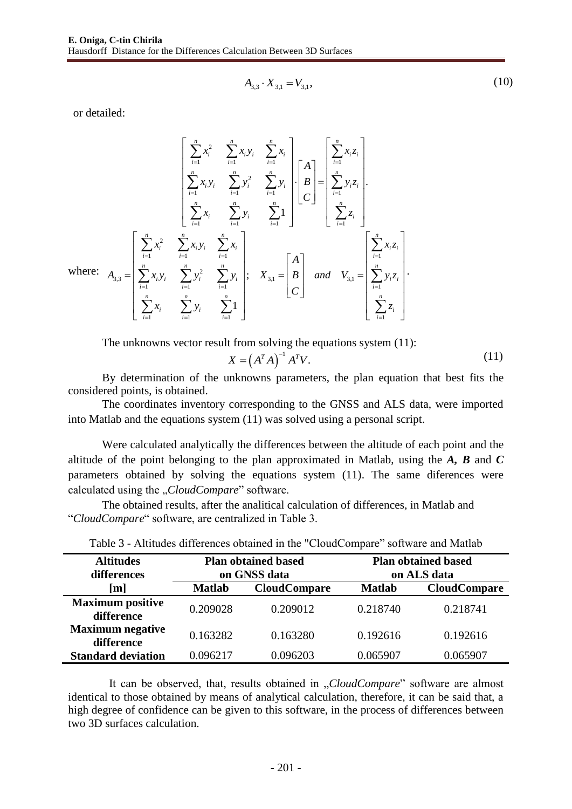$$
A_{3,3} \cdot X_{3,1} = V_{3,1},\tag{10}
$$

or detailed:

$$
\begin{bmatrix}\n\sum_{i=1}^{n} x_i^2 & \sum_{i=1}^{n} x_i y_i & \sum_{i=1}^{n} x_i \\
\sum_{i=1}^{n} x_i y_i & \sum_{i=1}^{n} y_i^2 & \sum_{i=1}^{n} y_i\n\end{bmatrix}\n\begin{bmatrix}\nA \\
B \\
C\n\end{bmatrix} =\n\begin{bmatrix}\n\sum_{i=1}^{n} x_i z_i \\
\sum_{i=1}^{n} y_i z_i \\
\sum_{i=1}^{n} z_i\n\end{bmatrix}.
$$
\nwhere:\n
$$
A_{3,3} =\n\begin{bmatrix}\n\sum_{i=1}^{n} x_i^2 & \sum_{i=1}^{n} x_i y_i & \sum_{i=1}^{n} x_i \\
\sum_{i=1}^{n} x_i y_i & \sum_{i=1}^{n} y_i \\
\sum_{i=1}^{n} x_i y_i & \sum_{i=1}^{n} y_i\n\end{bmatrix};\n\quad\nX_{3,1} =\n\begin{bmatrix}\nA \\
B \\
C\n\end{bmatrix} \quad\nand \quad\nV_{3,1} =\n\begin{bmatrix}\n\sum_{i=1}^{n} x_i z_i \\
\sum_{i=1}^{n} y_i z_i \\
\sum_{i=1}^{n} y_i z_i \\
\sum_{i=1}^{n} z_i\n\end{bmatrix}.
$$

The unknowns vector result from solving the equations system  $(11)$ :

$$
X = \left(A^T A\right)^{-1} A^T V. \tag{11}
$$

By determination of the unknowns parameters, the plan equation that best fits the considered points, is obtained.

The coordinates inventory corresponding to the GNSS and ALS data, were imported into Matlab and the equations system (11) was solved using a personal script.

Were calculated analytically the differences between the altitude of each point and the altitude of the point belonging to the plan approximated in Matlab, using the *A, B* and *C*  parameters obtained by solving the equations system (11). The same diferences were calculated using the *"CloudCompare*" software.

The obtained results, after the analitical calculation of differences, in Matlab and "*CloudCompare*" software, are centralized in Table 3.

| <b>Altitudes</b><br>differences       | <b>Plan obtained based</b><br>on GNSS data |                     | <b>Plan obtained based</b><br>on ALS data |                     |
|---------------------------------------|--------------------------------------------|---------------------|-------------------------------------------|---------------------|
| [m]                                   | <b>Matlab</b>                              | <b>CloudCompare</b> | <b>Matlab</b>                             | <b>CloudCompare</b> |
| <b>Maximum positive</b><br>difference | 0.209028                                   | 0.209012            | 0.218740                                  | 0.218741            |
| <b>Maximum</b> negative<br>difference | 0.163282                                   | 0.163280            | 0.192616                                  | 0.192616            |
| <b>Standard deviation</b>             | 0.096217                                   | 0.096203            | 0.065907                                  | 0.065907            |

Table 3 - Altitudes differences obtained in the "CloudCompare" software and Matlab

It can be observed, that, results obtained in "*CloudCompare*" software are almost identical to those obtained by means of analytical calculation, therefore, it can be said that, a high degree of confidence can be given to this software, in the process of differences between two 3D surfaces calculation.